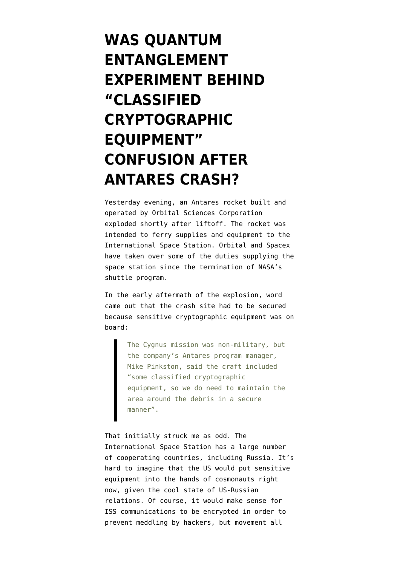## **[WAS QUANTUM](https://www.emptywheel.net/2014/10/29/was-quantum-entanglement-experiment-behind-classified-cryptographic-equipment-confusion-after-antares-crash/) [ENTANGLEMENT](https://www.emptywheel.net/2014/10/29/was-quantum-entanglement-experiment-behind-classified-cryptographic-equipment-confusion-after-antares-crash/) [EXPERIMENT BEHIND](https://www.emptywheel.net/2014/10/29/was-quantum-entanglement-experiment-behind-classified-cryptographic-equipment-confusion-after-antares-crash/) ["CLASSIFIED](https://www.emptywheel.net/2014/10/29/was-quantum-entanglement-experiment-behind-classified-cryptographic-equipment-confusion-after-antares-crash/) [CRYPTOGRAPHIC](https://www.emptywheel.net/2014/10/29/was-quantum-entanglement-experiment-behind-classified-cryptographic-equipment-confusion-after-antares-crash/) [EQUIPMENT"](https://www.emptywheel.net/2014/10/29/was-quantum-entanglement-experiment-behind-classified-cryptographic-equipment-confusion-after-antares-crash/) [CONFUSION AFTER](https://www.emptywheel.net/2014/10/29/was-quantum-entanglement-experiment-behind-classified-cryptographic-equipment-confusion-after-antares-crash/) [ANTARES CRASH?](https://www.emptywheel.net/2014/10/29/was-quantum-entanglement-experiment-behind-classified-cryptographic-equipment-confusion-after-antares-crash/)**

Yesterday evening, an Antares rocket built and operated by [Orbital Sciences Corporation](https://www.orbital.com/) exploded shortly after liftoff. The rocket was intended to ferry supplies and equipment to the International Space Station. Orbital and [Spacex](http://www.spacex.com/) have taken over some of the duties supplying the space station since the termination of NASA's shuttle program.

In the [early aftermath](http://www.reuters.com/article/2014/10/29/us-space-orbital-idUSKBN0IH2F220141029) of the explosion, word came out that the crash site had to be secured because sensitive cryptographic equipment was on board:

> The Cygnus mission was non-military, but the company's Antares program manager, Mike Pinkston, said the craft included "some classified cryptographic equipment, so we do need to maintain the area around the debris in a secure manner".

That initially struck me as odd. The International Space Station has a [large number](http://www.nasa.gov/mission_pages/station/structure/elements/partners.html#.VFDkYvkQOWc) [of cooperating countries,](http://www.nasa.gov/mission_pages/station/structure/elements/partners.html#.VFDkYvkQOWc) including Russia. It's hard to imagine that the US would put sensitive equipment into the hands of cosmonauts right now, given the cool state of US-Russian relations. Of course, it would make sense for ISS communications to be encrypted in order to prevent meddling by hackers, but movement all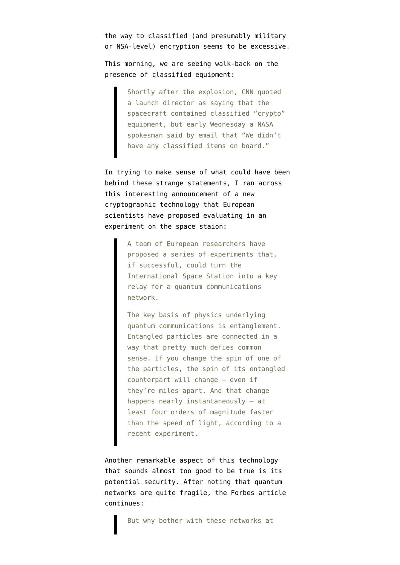the way to classified (and presumably military or NSA-level) encryption seems to be excessive.

This morning, we are seeing [walk-back on the](http://www.washingtonpost.com/local/rocket-blows-up-seconds-after-launching/2014/10/28/92ca8c62-5ef1-11e4-9f3a-7e28799e0549_story.html?hpid=z1) [presence of classified equipment:](http://www.washingtonpost.com/local/rocket-blows-up-seconds-after-launching/2014/10/28/92ca8c62-5ef1-11e4-9f3a-7e28799e0549_story.html?hpid=z1)

> Shortly after the explosion, CNN quoted a launch director as saying that the spacecraft contained classified "crypto" equipment, but early Wednesday a NASA spokesman said by email that "We didn't have any classified items on board."

In trying to make sense of what could have been behind these strange statements, I ran across this interesting announcement of a new cryptographic technology that [European](http://www.forbes.com/sites/alexknapp/2013/04/10/the-space-station-could-be-the-next-frontier-of-quantum-communications/) [scientists have proposed evaluating in an](http://www.forbes.com/sites/alexknapp/2013/04/10/the-space-station-could-be-the-next-frontier-of-quantum-communications/) [experiment on the space staion:](http://www.forbes.com/sites/alexknapp/2013/04/10/the-space-station-could-be-the-next-frontier-of-quantum-communications/)

> A team of European researchers have proposed a series of experiments that, if successful, could turn the International Space Station into a key relay for a quantum communications network.

The key basis of physics underlying quantum communications is entanglement. Entangled particles are connected in a way that pretty much defies common sense. If you change the spin of one of the particles, the spin of its entangled counterpart will change – even if they're miles apart. And that change happens nearly instantaneously – at least four orders of magnitude faster than the speed of light, according to a recent experiment.

Another remarkable aspect of this technology that sounds almost too good to be true is its potential security. After noting that quantum networks are quite fragile, the Forbes article continues: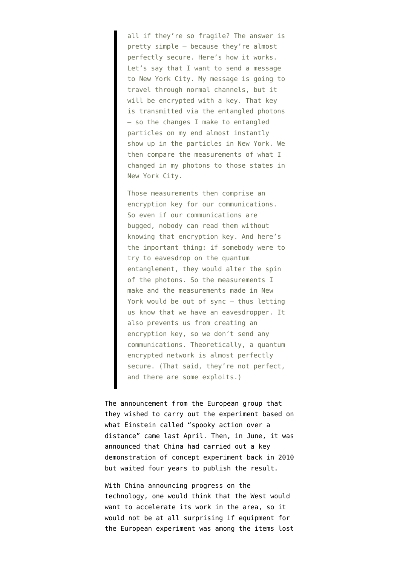all if they're so fragile? The answer is pretty simple – because they're almost perfectly secure. Here's how it works. Let's say that I want to send a message to New York City. My message is going to travel through normal channels, but it will be encrypted with a key. That key is transmitted via the entangled photons – so the changes I make to entangled particles on my end almost instantly show up in the particles in New York. We then compare the measurements of what I changed in my photons to those states in New York City.

Those measurements then comprise an encryption key for our communications. So even if our communications are bugged, nobody can read them without knowing that encryption key. And here's the important thing: if somebody were to try to eavesdrop on the quantum entanglement, they would alter the spin of the photons. So the measurements I make and the measurements made in New York would be out of sync – thus letting us know that we have an eavesdropper. It also prevents us from creating an encryption key, so we don't send any communications. Theoretically, a quantum encrypted network is almost perfectly secure. (That said, they're not perfect, and there are some exploits.)

The announcement from the European group that they wished to carry out the experiment based on what Einstein called ["spooky action over a](http://dujs.dartmouth.edu/news/quantum-entanglement-experiment-to-take-place-aboard-the-international-space-station#.VFDdcvkQOWc) [distance"](http://dujs.dartmouth.edu/news/quantum-entanglement-experiment-to-take-place-aboard-the-international-space-station#.VFDdcvkQOWc) came last April. Then, in June, it was announced that [China had carried out a key](http://www.technologyreview.com/view/515871/china-reveals-first-space-based-quantum-communications-experiment/) [demonstration of concept experiment back in 2010](http://www.technologyreview.com/view/515871/china-reveals-first-space-based-quantum-communications-experiment/) but waited four years to publish the result.

With China announcing progress on the technology, one would think that the West would want to accelerate its work in the area, so it would not be at all surprising if equipment for the European experiment was among the items lost